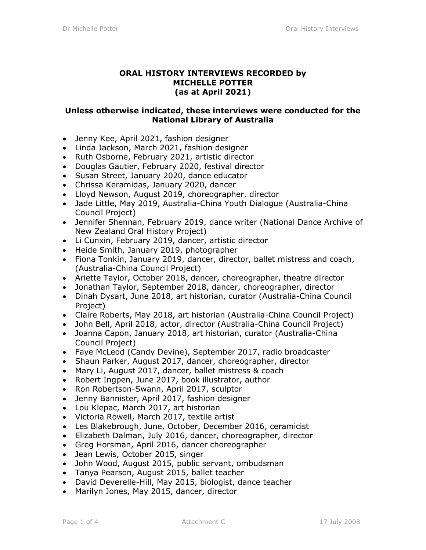## **ORAL HISTORY INTERVIEWS RECORDED by MICHELLE POTTER (as at April 2021)**

## **Unless otherwise indicated, these interviews were conducted for the National Library of Australia**

- Jenny Kee, April 2021, fashion designer
- Linda Jackson, March 2021, fashion designer
- Ruth Osborne, February 2021, artistic director
- Douglas Gautier, February 2020, festival director
- Susan Street, January 2020, dance educator
- Chrissa Keramidas, January 2020, dancer
- Lloyd Newson, August 2019, choreographer, director
- Jade Little, May 2019, Australia-China Youth Dialogue (Australia-China Council Project)
- Jennifer Shennan, February 2019, dance writer (National Dance Archive of New Zealand Oral History Project)
- Li Cunxin, February 2019, dancer, artistic director
- Heide Smith, January 2019, photographer
- Fiona Tonkin, January 2019, dancer, director, ballet mistress and coach, (Australia-China Council Project)
- Ariette Taylor, October 2018, dancer, choreographer, theatre director
- Jonathan Taylor, September 2018, dancer, choreographer, director
- Dinah Dysart, June 2018, art historian, curator (Australia-China Council Project)
- Claire Roberts, May 2018, art historian (Australia-China Council Project)
- John Bell, April 2018, actor, director (Australia-China Council Project)
- Joanna Capon, January 2018, art historian, curator (Australia-China Council Project)
- Faye McLeod (Candy Devine), September 2017, radio broadcaster
- Shaun Parker, August 2017, dancer, choreographer, director
- Mary Li, August 2017, dancer, ballet mistress & coach
- Robert Ingpen, June 2017, book illustrator, author
- Ron Robertson-Swann, April 2017, sculptor
- Jenny Bannister, April 2017, fashion designer
- Lou Klepac, March 2017, art historian
- Victoria Rowell, March 2017, textile artist
- Les Blakebrough, June, October, December 2016, ceramicist
- Elizabeth Dalman, July 2016, dancer, choreographer, director
- Greg Horsman, April 2016, dancer choreographer
- Jean Lewis, October 2015, singer
- John Wood, August 2015, public servant, ombudsman
- Tanya Pearson, August 2015, ballet teacher
- David Deverelle-Hill, May 2015, biologist, dance teacher
- Marilyn Jones, May 2015, dancer, director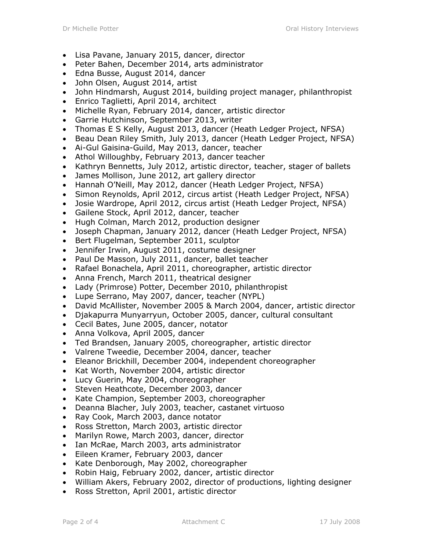- Lisa Pavane, January 2015, dancer, director
- Peter Bahen, December 2014, arts administrator
- Edna Busse, August 2014, dancer
- John Olsen, August 2014, artist
- John Hindmarsh, August 2014, building project manager, philanthropist
- Enrico Taglietti, April 2014, architect
- Michelle Ryan, February 2014, dancer, artistic director
- Garrie Hutchinson, September 2013, writer
- Thomas E S Kelly, August 2013, dancer (Heath Ledger Project, NFSA)
- Beau Dean Riley Smith, July 2013, dancer (Heath Ledger Project, NFSA)
- Ai-Gul Gaisina-Guild, May 2013, dancer, teacher
- Athol Willoughby, February 2013, dancer teacher
- Kathryn Bennetts, July 2012, artistic director, teacher, stager of ballets
- James Mollison, June 2012, art gallery director
- Hannah O'Neill, May 2012, dancer (Heath Ledger Project, NFSA)
- Simon Reynolds, April 2012, circus artist (Heath Ledger Project, NFSA)
- Josie Wardrope, April 2012, circus artist (Heath Ledger Project, NFSA)
- Gailene Stock, April 2012, dancer, teacher
- Hugh Colman, March 2012, production designer
- Joseph Chapman, January 2012, dancer (Heath Ledger Project, NFSA)
- Bert Flugelman, September 2011, sculptor
- Jennifer Irwin, August 2011, costume designer
- Paul De Masson, July 2011, dancer, ballet teacher
- Rafael Bonachela, April 2011, choreographer, artistic director
- Anna French, March 2011, theatrical designer
- Lady (Primrose) Potter, December 2010, philanthropist
- Lupe Serrano, May 2007, dancer, teacher (NYPL)
- David McAllister, November 2005 & March 2004, dancer, artistic director
- Djakapurra Munyarryun, October 2005, dancer, cultural consultant
- Cecil Bates, June 2005, dancer, notator
- Anna Volkova, April 2005, dancer
- Ted Brandsen, January 2005, choreographer, artistic director
- Valrene Tweedie, December 2004, dancer, teacher
- Eleanor Brickhill, December 2004, independent choreographer
- Kat Worth, November 2004, artistic director
- Lucy Guerin, May 2004, choreographer
- Steven Heathcote, December 2003, dancer
- Kate Champion, September 2003, choreographer
- Deanna Blacher, July 2003, teacher, castanet virtuoso
- Ray Cook, March 2003, dance notator
- Ross Stretton, March 2003, artistic director
- Marilyn Rowe, March 2003, dancer, director
- Ian McRae, March 2003, arts administrator
- Eileen Kramer, February 2003, dancer
- Kate Denborough, May 2002, choreographer
- Robin Haig, February 2002, dancer, artistic director
- William Akers, February 2002, director of productions, lighting designer
- Ross Stretton, April 2001, artistic director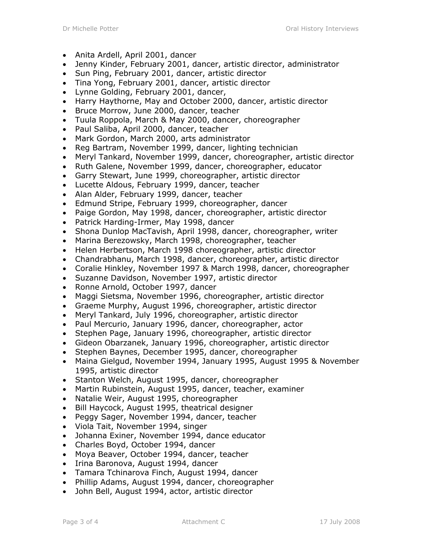- Anita Ardell, April 2001, dancer
- Jenny Kinder, February 2001, dancer, artistic director, administrator
- Sun Ping, February 2001, dancer, artistic director
- Tina Yong, February 2001, dancer, artistic director
- Lynne Golding, February 2001, dancer,
- Harry Haythorne, May and October 2000, dancer, artistic director
- Bruce Morrow, June 2000, dancer, teacher
- Tuula Roppola, March & May 2000, dancer, choreographer
- Paul Saliba, April 2000, dancer, teacher
- Mark Gordon, March 2000, arts administrator
- Reg Bartram, November 1999, dancer, lighting technician
- Meryl Tankard, November 1999, dancer, choreographer, artistic director
- Ruth Galene, November 1999, dancer, choreographer, educator
- Garry Stewart, June 1999, choreographer, artistic director
- Lucette Aldous, February 1999, dancer, teacher
- Alan Alder, February 1999, dancer, teacher
- Edmund Stripe, February 1999, choreographer, dancer
- Paige Gordon, May 1998, dancer, choreographer, artistic director
- Patrick Harding-Irmer, May 1998, dancer
- Shona Dunlop MacTavish, April 1998, dancer, choreographer, writer
- Marina Berezowsky, March 1998, choreographer, teacher
- Helen Herbertson, March 1998 choreographer, artistic director
- Chandrabhanu, March 1998, dancer, choreographer, artistic director
- Coralie Hinkley, November 1997 & March 1998, dancer, choreographer
- Suzanne Davidson, November 1997, artistic director
- Ronne Arnold, October 1997, dancer
- Maggi Sietsma, November 1996, choreographer, artistic director
- Graeme Murphy, August 1996, choreographer, artistic director
- Meryl Tankard, July 1996, choreographer, artistic director
- Paul Mercurio, January 1996, dancer, choreographer, actor
- Stephen Page, January 1996, choreographer, artistic director
- Gideon Obarzanek, January 1996, choreographer, artistic director
- Stephen Baynes, December 1995, dancer, choreographer
- Maina Gielgud, November 1994, January 1995, August 1995 & November 1995, artistic director
- Stanton Welch, August 1995, dancer, choreographer
- Martin Rubinstein, August 1995, dancer, teacher, examiner
- Natalie Weir, August 1995, choreographer
- Bill Haycock, August 1995, theatrical designer
- Peggy Sager, November 1994, dancer, teacher
- Viola Tait, November 1994, singer
- Johanna Exiner, November 1994, dance educator
- Charles Boyd, October 1994, dancer
- Moya Beaver, October 1994, dancer, teacher
- Irina Baronova, August 1994, dancer
- Tamara Tchinarova Finch, August 1994, dancer
- Phillip Adams, August 1994, dancer, choreographer
- John Bell, August 1994, actor, artistic director